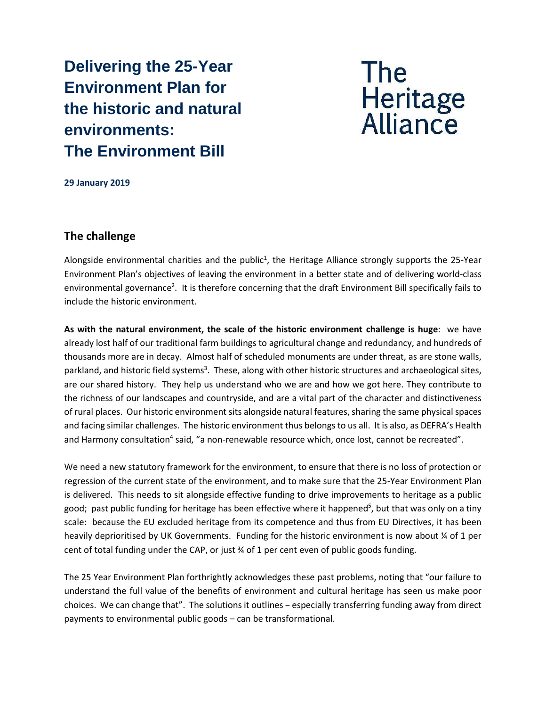**Delivering the 25-Year Environment Plan for the historic and natural environments: The Environment Bill**



**29 January 2019**

#### **The challenge**

Alongside environmental charities and the public<sup>1</sup>, the Heritage Alliance strongly supports the 25-Year Environment Plan's objectives of leaving the environment in a better state and of delivering world-class environmental governance<sup>2</sup>. It is therefore concerning that the draft Environment Bill specifically fails to include the historic environment.

**As with the natural environment, the scale of the historic environment challenge is huge**: we have already lost half of our traditional farm buildings to agricultural change and redundancy, and hundreds of thousands more are in decay. Almost half of scheduled monuments are under threat, as are stone walls, parkland, and historic field systems<sup>3</sup>. These, along with other historic structures and archaeological sites, are our shared history. They help us understand who we are and how we got here. They contribute to the richness of our landscapes and countryside, and are a vital part of the character and distinctiveness of rural places. Our historic environment sits alongside natural features, sharing the same physical spaces and facing similar challenges. The historic environment thus belongs to us all. It is also, as DEFRA's Health and Harmony consultation<sup>4</sup> said, "a non-renewable resource which, once lost, cannot be recreated".

We need a new statutory framework for the environment, to ensure that there is no loss of protection or regression of the current state of the environment, and to make sure that the 25-Year Environment Plan is delivered. This needs to sit alongside effective funding to drive improvements to heritage as a public good; past public funding for heritage has been effective where it happened<sup>5</sup>, but that was only on a tiny scale: because the EU excluded heritage from its competence and thus from EU Directives, it has been heavily deprioritised by UK Governments. Funding for the historic environment is now about % of 1 per cent of total funding under the CAP, or just ¾ of 1 per cent even of public goods funding.

The 25 Year Environment Plan forthrightly acknowledges these past problems, noting that "our failure to understand the full value of the benefits of environment and cultural heritage has seen us make poor choices. We can change that". The solutions it outlines − especially transferring funding away from direct payments to environmental public goods – can be transformational.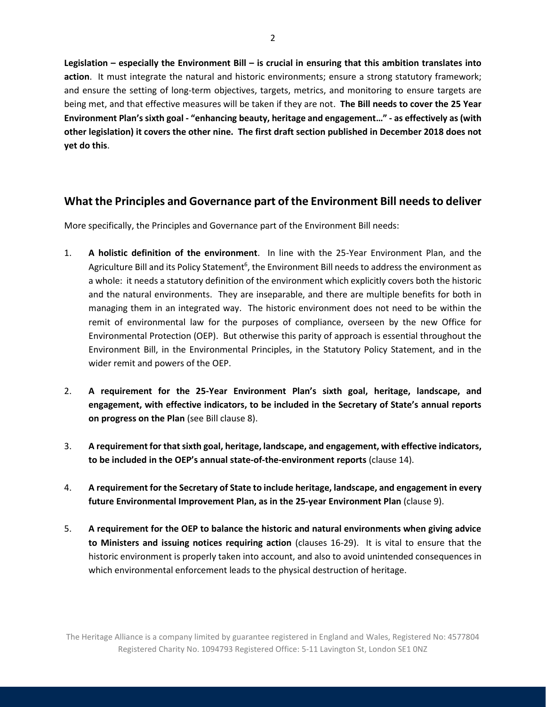**Legislation – especially the Environment Bill – is crucial in ensuring that this ambition translates into action**. It must integrate the natural and historic environments; ensure a strong statutory framework; and ensure the setting of long-term objectives, targets, metrics, and monitoring to ensure targets are being met, and that effective measures will be taken if they are not. **The Bill needs to cover the 25 Year Environment Plan's sixth goal - "enhancing beauty, heritage and engagement…" - as effectively as (with other legislation) it covers the other nine. The first draft section published in December 2018 does not yet do this**.

# **What the Principles and Governance part of the Environment Bill needs to deliver**

More specifically, the Principles and Governance part of the Environment Bill needs:

- 1. **A holistic definition of the environment**. In line with the 25-Year Environment Plan, and the Agriculture Bill and its Policy Statement<sup>6</sup>, the Environment Bill needs to address the environment as a whole: it needs a statutory definition of the environment which explicitly covers both the historic and the natural environments. They are inseparable, and there are multiple benefits for both in managing them in an integrated way. The historic environment does not need to be within the remit of environmental law for the purposes of compliance, overseen by the new Office for Environmental Protection (OEP). But otherwise this parity of approach is essential throughout the Environment Bill, in the Environmental Principles, in the Statutory Policy Statement, and in the wider remit and powers of the OEP.
- 2. **A requirement for the 25-Year Environment Plan's sixth goal, heritage, landscape, and engagement, with effective indicators, to be included in the Secretary of State's annual reports on progress on the Plan** (see Bill clause 8).
- 3. **A requirement for that sixth goal, heritage, landscape, and engagement, with effective indicators, to be included in the OEP's annual state-of-the-environment reports** (clause 14).
- 4. **A requirement for the Secretary of State to include heritage, landscape, and engagement in every future Environmental Improvement Plan, as in the 25-year Environment Plan** (clause 9).
- 5. **A requirement for the OEP to balance the historic and natural environments when giving advice to Ministers and issuing notices requiring action** (clauses 16-29). It is vital to ensure that the historic environment is properly taken into account, and also to avoid unintended consequences in which environmental enforcement leads to the physical destruction of heritage.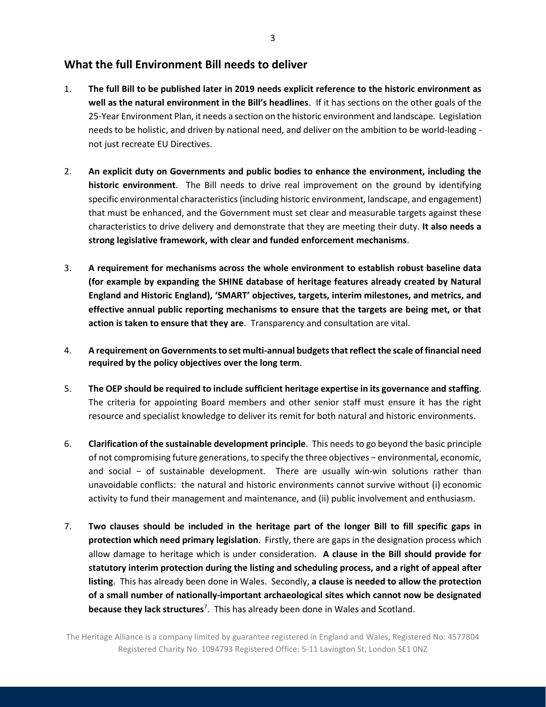## **What the full Environment Bill needs to deliver**

- 1. **The full Bill to be published later in 2019 needs explicit reference to the historic environment as well as the natural environment in the Bill's headlines**. If it has sections on the other goals of the 25-Year Environment Plan, it needs a section on the historic environment and landscape. Legislation needs to be holistic, and driven by national need, and deliver on the ambition to be world-leading not just recreate EU Directives.
- 2. **An explicit duty on Governments and public bodies to enhance the environment, including the historic environment**. The Bill needs to drive real improvement on the ground by identifying specific environmental characteristics(including historic environment, landscape, and engagement) that must be enhanced, and the Government must set clear and measurable targets against these characteristics to drive delivery and demonstrate that they are meeting their duty. **It also needs a strong legislative framework, with clear and funded enforcement mechanisms**.
- 3. **A requirement for mechanisms across the whole environment to establish robust baseline data (for example by expanding the SHINE database of heritage features already created by Natural England and Historic England), 'SMART' objectives, targets, interim milestones, and metrics, and effective annual public reporting mechanisms to ensure that the targets are being met, or that action is taken to ensure that they are**. Transparency and consultation are vital.
- 4. **A requirement onGovernments to set multi-annual budgets that reflect the scale of financial need required by the policy objectives over the long term**.
- 5. **The OEP should be required to include sufficient heritage expertise in its governance and staffing**. The criteria for appointing Board members and other senior staff must ensure it has the right resource and specialist knowledge to deliver its remit for both natural and historic environments.
- 6. **Clarification of the sustainable development principle**. This needs to go beyond the basic principle of not compromising future generations, to specify the three objectives − environmental, economic, and social − of sustainable development. There are usually win-win solutions rather than unavoidable conflicts: the natural and historic environments cannot survive without (i) economic activity to fund their management and maintenance, and (ii) public involvement and enthusiasm.
- 7. **Two clauses should be included in the heritage part of the longer Bill to fill specific gaps in protection which need primary legislation**.Firstly, there are gaps in the designation process which allow damage to heritage which is under consideration. **A clause in the Bill should provide for statutory interim protection during the listing and scheduling process, and a right of appeal after listing**. This has already been done in Wales. Secondly, **a clause is needed to allow the protection of a small number of nationally-important archaeological sites which cannot now be designated because they lack structures**<sup>7</sup> .This has already been done in Wales and Scotland.

The Heritage Alliance is a company limited by guarantee registered in England and Wales, Registered No: 4577804 Registered Charity No. 1094793 Registered Office: 5-11 Lavington St, London SE1 0NZ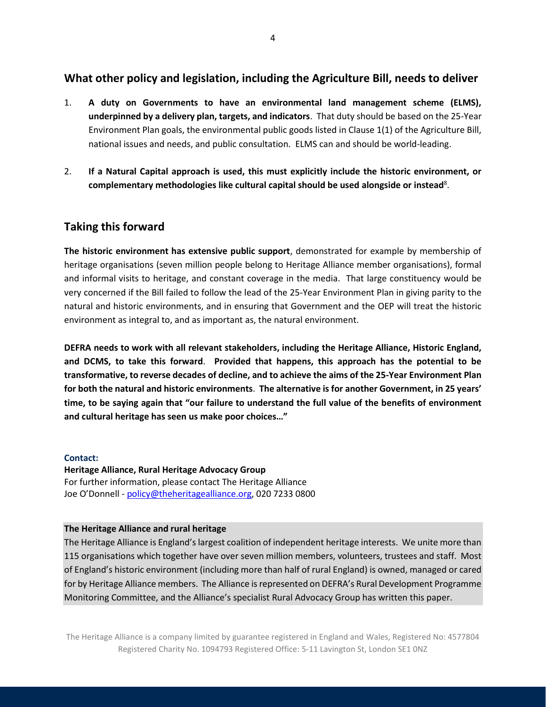## **What other policy and legislation, including the Agriculture Bill, needs to deliver**

- 1. **A duty on Governments to have an environmental land management scheme (ELMS), underpinned by a delivery plan, targets, and indicators**. That duty should be based on the 25-Year Environment Plan goals, the environmental public goods listed in Clause 1(1) of the Agriculture Bill, national issues and needs, and public consultation. ELMS can and should be world-leading.
- 2. **If a Natural Capital approach is used, this must explicitly include the historic environment, or complementary methodologies like cultural capital should be used alongside or instead**<sup>8</sup> .

### **Taking this forward**

**The historic environment has extensive public support**, demonstrated for example by membership of heritage organisations (seven million people belong to Heritage Alliance member organisations), formal and informal visits to heritage, and constant coverage in the media. That large constituency would be very concerned if the Bill failed to follow the lead of the 25-Year Environment Plan in giving parity to the natural and historic environments, and in ensuring that Government and the OEP will treat the historic environment as integral to, and as important as, the natural environment.

**DEFRA needs to work with all relevant stakeholders, including the Heritage Alliance, Historic England, and DCMS, to take this forward**. **Provided that happens, this approach has the potential to be transformative, to reverse decades of decline, and to achieve the aims of the 25-Year Environment Plan for both the natural and historic environments**. **The alternative is for another Government, in 25 years' time, to be saying again that "our failure to understand the full value of the benefits of environment and cultural heritage has seen us make poor choices…"**

#### **Contact:**

**Heritage Alliance, Rural Heritage Advocacy Group** For further information, please contact The Heritage Alliance Joe O'Donnell - [policy@theheritagealliance.org,](mailto:policy@theheritagealliance.org) 020 7233 0800

#### **The Heritage Alliance and rural heritage**

The Heritage Alliance is England's largest coalition of independent heritage interests. We unite more than 115 organisations which together have over seven million members, volunteers, trustees and staff. Most of England's historic environment (including more than half of rural England) is owned, managed or cared for by Heritage Alliance members. The Alliance is represented on DEFRA's Rural Development Programme Monitoring Committee, and the Alliance's specialist Rural Advocacy Group has written this paper.

The Heritage Alliance is a company limited by guarantee registered in England and Wales, Registered No: 4577804 Registered Charity No. 1094793 Registered Office: 5-11 Lavington St, London SE1 0NZ